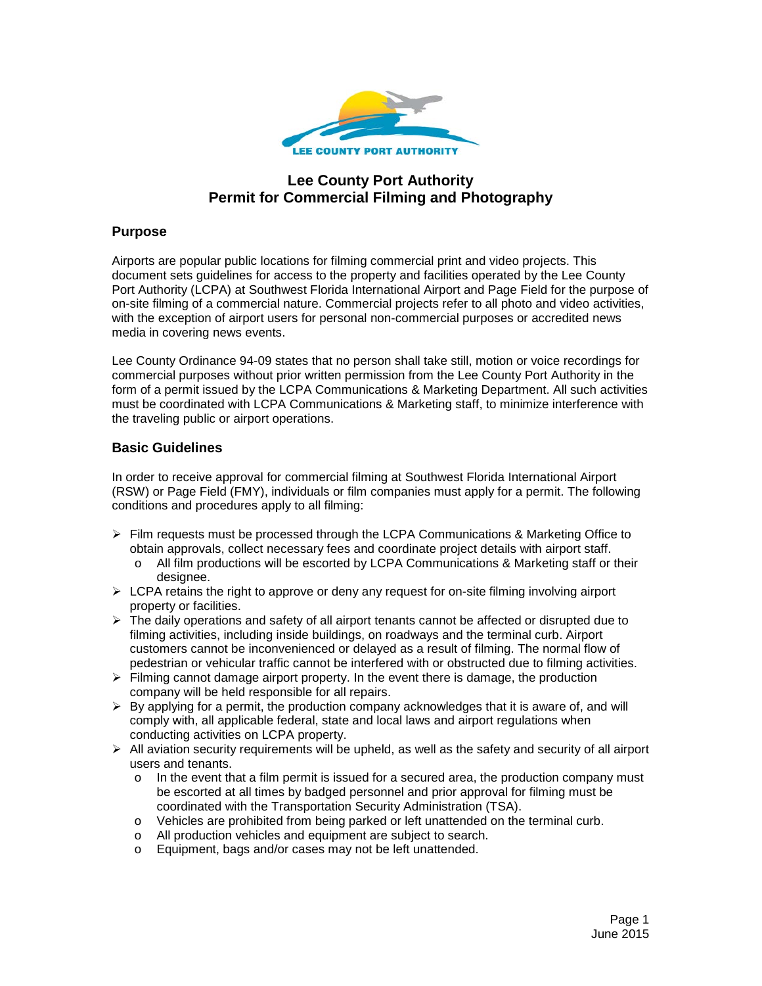

# **Lee County Port Authority Permit for Commercial Filming and Photography**

# **Purpose**

Airports are popular public locations for filming commercial print and video projects. This document sets guidelines for access to the property and facilities operated by the Lee County Port Authority (LCPA) at Southwest Florida International Airport and Page Field for the purpose of on-site filming of a commercial nature. Commercial projects refer to all photo and video activities, with the exception of airport users for personal non-commercial purposes or accredited news media in covering news events.

Lee County Ordinance 94-09 states that no person shall take still, motion or voice recordings for commercial purposes without prior written permission from the Lee County Port Authority in the form of a permit issued by the LCPA Communications & Marketing Department. All such activities must be coordinated with LCPA Communications & Marketing staff, to minimize interference with the traveling public or airport operations.

## **Basic Guidelines**

In order to receive approval for commercial filming at Southwest Florida International Airport (RSW) or Page Field (FMY), individuals or film companies must apply for a permit. The following conditions and procedures apply to all filming:

- $\triangleright$  Film requests must be processed through the LCPA Communications & Marketing Office to obtain approvals, collect necessary fees and coordinate project details with airport staff.
	- o All film productions will be escorted by LCPA Communications & Marketing staff or their designee.
- $\triangleright$  LCPA retains the right to approve or deny any request for on-site filming involving airport property or facilities.
- $\triangleright$  The daily operations and safety of all airport tenants cannot be affected or disrupted due to filming activities, including inside buildings, on roadways and the terminal curb. Airport customers cannot be inconvenienced or delayed as a result of filming. The normal flow of pedestrian or vehicular traffic cannot be interfered with or obstructed due to filming activities.
- $\triangleright$  Filming cannot damage airport property. In the event there is damage, the production company will be held responsible for all repairs.
- $\triangleright$  By applying for a permit, the production company acknowledges that it is aware of, and will comply with, all applicable federal, state and local laws and airport regulations when conducting activities on LCPA property.
- $\triangleright$  All aviation security requirements will be upheld, as well as the safety and security of all airport users and tenants.
	- $\circ$  In the event that a film permit is issued for a secured area, the production company must be escorted at all times by badged personnel and prior approval for filming must be coordinated with the Transportation Security Administration (TSA).
	- o Vehicles are prohibited from being parked or left unattended on the terminal curb.
	- o All production vehicles and equipment are subject to search.
	- o Equipment, bags and/or cases may not be left unattended.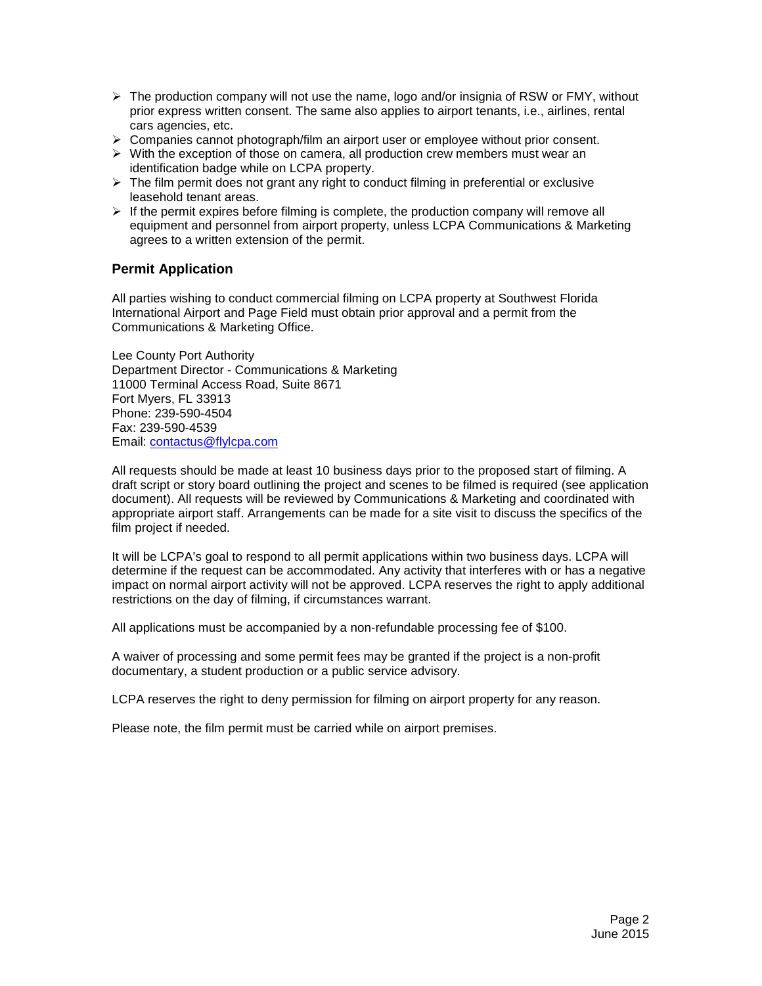- $\triangleright$  The production company will not use the name, logo and/or insignia of RSW or FMY, without prior express written consent. The same also applies to airport tenants, i.e., airlines, rental cars agencies, etc.
- $\triangleright$  Companies cannot photograph/film an airport user or employee without prior consent.
- $\triangleright$  With the exception of those on camera, all production crew members must wear an identification badge while on LCPA property.
- $\triangleright$  The film permit does not grant any right to conduct filming in preferential or exclusive leasehold tenant areas.
- $\triangleright$  If the permit expires before filming is complete, the production company will remove all equipment and personnel from airport property, unless LCPA Communications & Marketing agrees to a written extension of the permit.

## **Permit Application**

All parties wishing to conduct commercial filming on LCPA property at Southwest Florida International Airport and Page Field must obtain prior approval and a permit from the Communications & Marketing Office.

Lee County Port Authority Department Director - Communications & Marketing 11000 Terminal Access Road, Suite 8671 Fort Myers, FL 33913 Phone: 239-590-4504 Fax: 239-590-4539 Email: contactus@flylcpa.com

All requests should be made at least 10 business days prior to the proposed start of filming. A draft script or story board outlining the project and scenes to be filmed is required (see application document). All requests will be reviewed by Communications & Marketing and coordinated with appropriate airport staff. Arrangements can be made for a site visit to discuss the specifics of the film project if needed.

It will be LCPA's goal to respond to all permit applications within two business days. LCPA will determine if the request can be accommodated. Any activity that interferes with or has a negative impact on normal airport activity will not be approved. LCPA reserves the right to apply additional restrictions on the day of filming, if circumstances warrant.

All applications must be accompanied by a non-refundable processing fee of \$100.

A waiver of processing and some permit fees may be granted if the project is a non-profit documentary, a student production or a public service advisory.

LCPA reserves the right to deny permission for filming on airport property for any reason.

Please note, the film permit must be carried while on airport premises.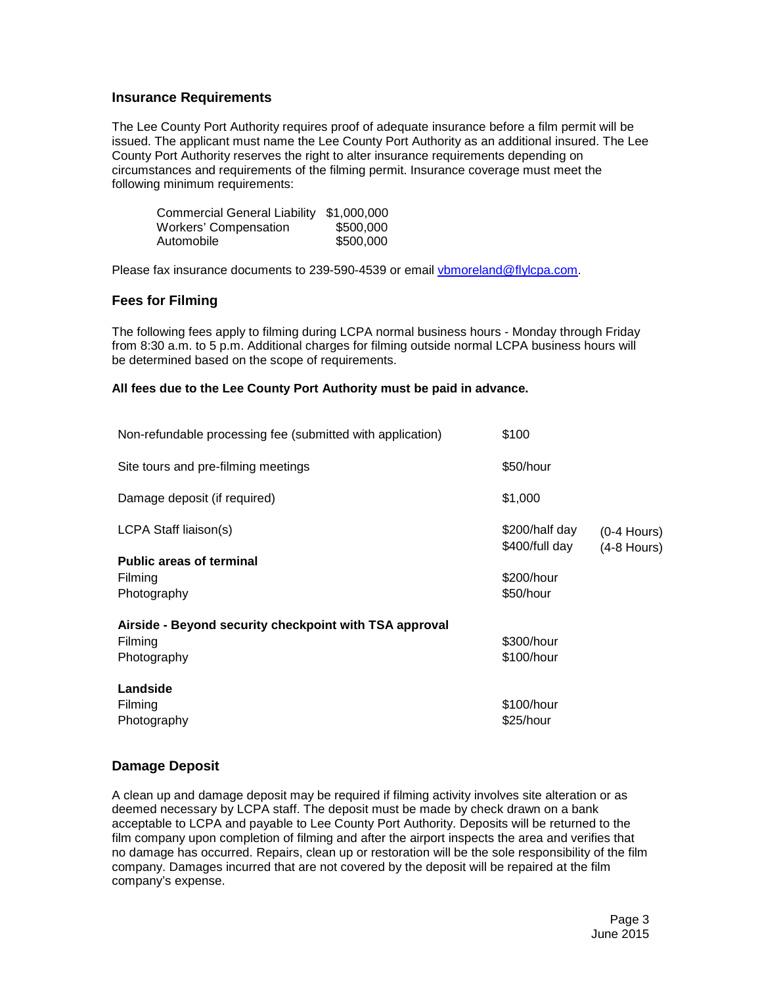#### **Insurance Requirements**

The Lee County Port Authority requires proof of adequate insurance before a film permit will be issued. The applicant must name the Lee County Port Authority as an additional insured. The Lee County Port Authority reserves the right to alter insurance requirements depending on circumstances and requirements of the filming permit. Insurance coverage must meet the following minimum requirements:

| <b>Commercial General Liability</b> | \$1,000,000 |
|-------------------------------------|-------------|
| <b>Workers' Compensation</b>        | \$500,000   |
| Automobile                          | \$500,000   |

Please fax insurance documents to 239-590-4539 or email vbmoreland@flylcpa.com.

### **Fees for Filming**

The following fees apply to filming during LCPA normal business hours - Monday through Friday from 8:30 a.m. to 5 p.m. Additional charges for filming outside normal LCPA business hours will be determined based on the scope of requirements.

#### **All fees due to the Lee County Port Authority must be paid in advance.**

| Non-refundable processing fee (submitted with application)                       | \$100                            |                              |
|----------------------------------------------------------------------------------|----------------------------------|------------------------------|
| Site tours and pre-filming meetings                                              | \$50/hour                        |                              |
| Damage deposit (if required)                                                     | \$1,000                          |                              |
| LCPA Staff liaison(s)                                                            | \$200/half day<br>\$400/full day | $(0-4$ Hours)<br>(4-8 Hours) |
| <b>Public areas of terminal</b><br>Filming<br>Photography                        | \$200/hour<br>\$50/hour          |                              |
| Airside - Beyond security checkpoint with TSA approval<br>Filming<br>Photography | \$300/hour<br>\$100/hour         |                              |
| Landside<br>Filming<br>Photography                                               | \$100/hour<br>\$25/hour          |                              |

#### **Damage Deposit**

A clean up and damage deposit may be required if filming activity involves site alteration or as deemed necessary by LCPA staff. The deposit must be made by check drawn on a bank acceptable to LCPA and payable to Lee County Port Authority. Deposits will be returned to the film company upon completion of filming and after the airport inspects the area and verifies that no damage has occurred. Repairs, clean up or restoration will be the sole responsibility of the film company. Damages incurred that are not covered by the deposit will be repaired at the film company's expense.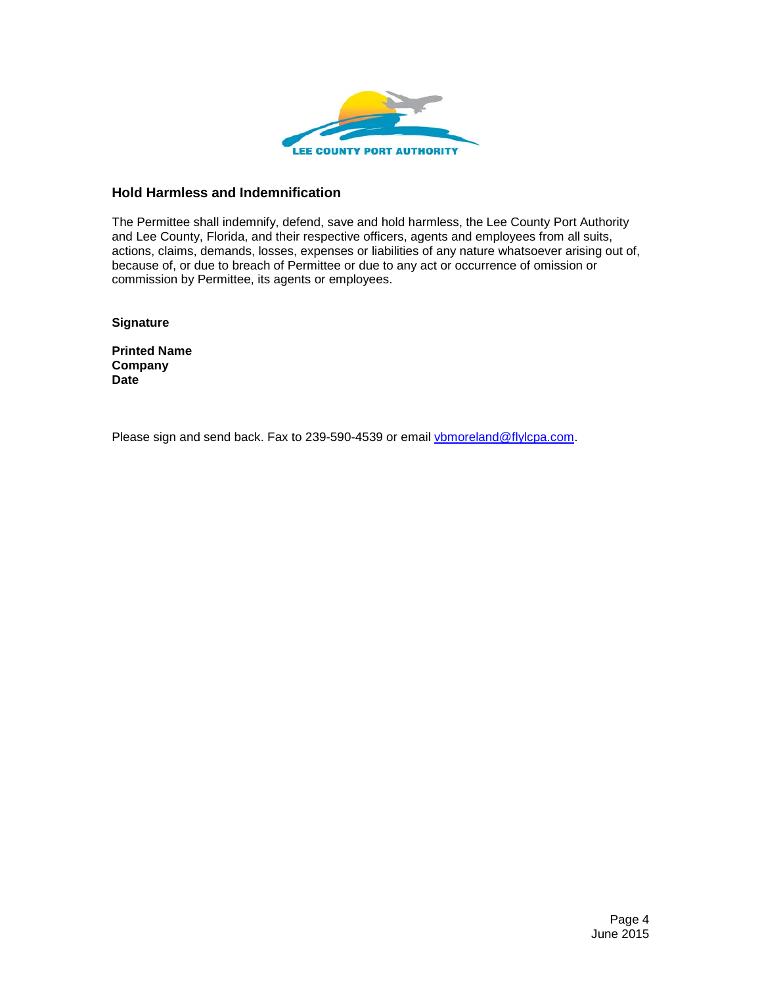

### **Hold Harmless and Indemnification**

The Permittee shall indemnify, defend, save and hold harmless, the Lee County Port Authority and Lee County, Florida, and their respective officers, agents and employees from all suits, actions, claims, demands, losses, expenses or liabilities of any nature whatsoever arising out of, because of, or due to breach of Permittee or due to any act or occurrence of omission or commission by Permittee, its agents or employees.

**Signature**

**Printed Name Company Date**

Please sign and send back. Fax to 239-590-4539 or email vbmoreland@flylcpa.com.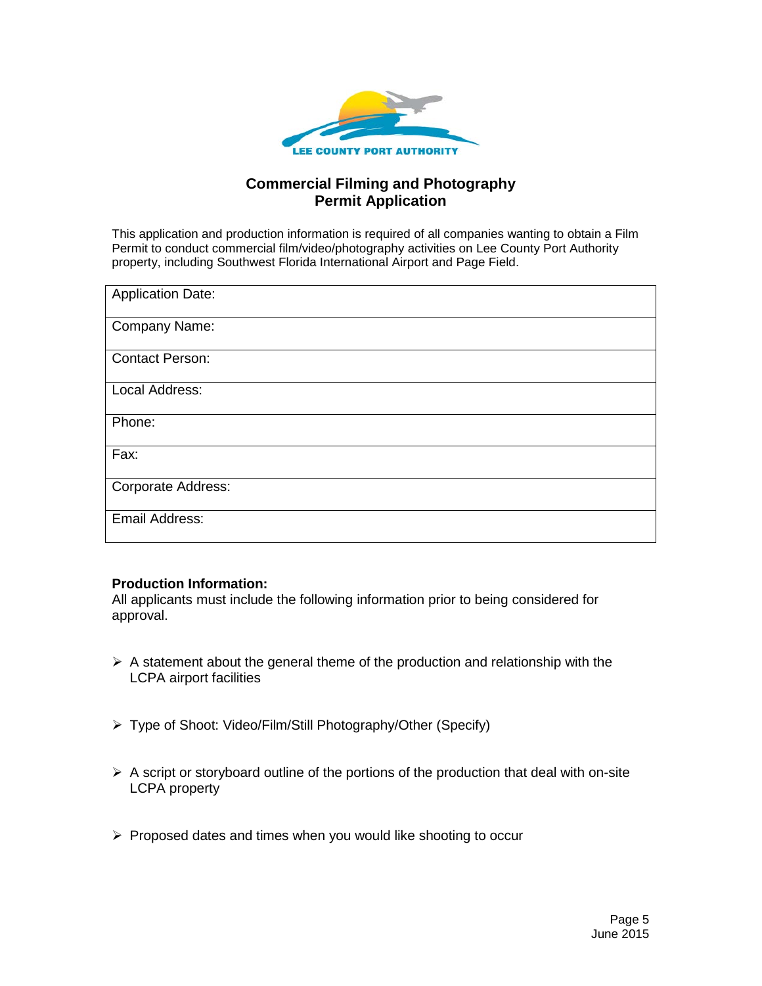

# **Commercial Filming and Photography Permit Application**

This application and production information is required of all companies wanting to obtain a Film Permit to conduct commercial film/video/photography activities on Lee County Port Authority property, including Southwest Florida International Airport and Page Field.

| <b>Application Date:</b> |
|--------------------------|
| Company Name:            |
| <b>Contact Person:</b>   |
| Local Address:           |
| Phone:                   |
| Fax:                     |
| Corporate Address:       |
| Email Address:           |

# **Production Information:**

All applicants must include the following information prior to being considered for approval.

- $\triangleright$  A statement about the general theme of the production and relationship with the LCPA airport facilities
- Type of Shoot: Video/Film/Still Photography/Other (Specify)
- $\triangleright$  A script or storyboard outline of the portions of the production that deal with on-site LCPA property
- $\triangleright$  Proposed dates and times when you would like shooting to occur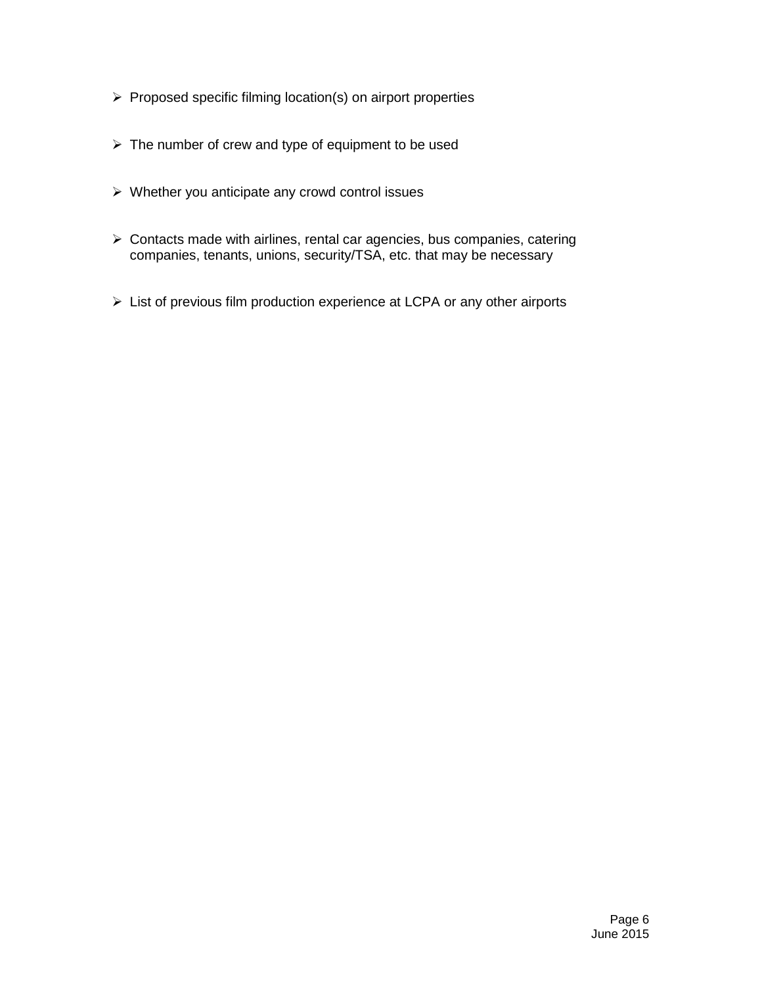- $\triangleright$  Proposed specific filming location(s) on airport properties
- $\triangleright$  The number of crew and type of equipment to be used
- $\triangleright$  Whether you anticipate any crowd control issues
- $\triangleright$  Contacts made with airlines, rental car agencies, bus companies, catering companies, tenants, unions, security/TSA, etc. that may be necessary
- List of previous film production experience at LCPA or any other airports